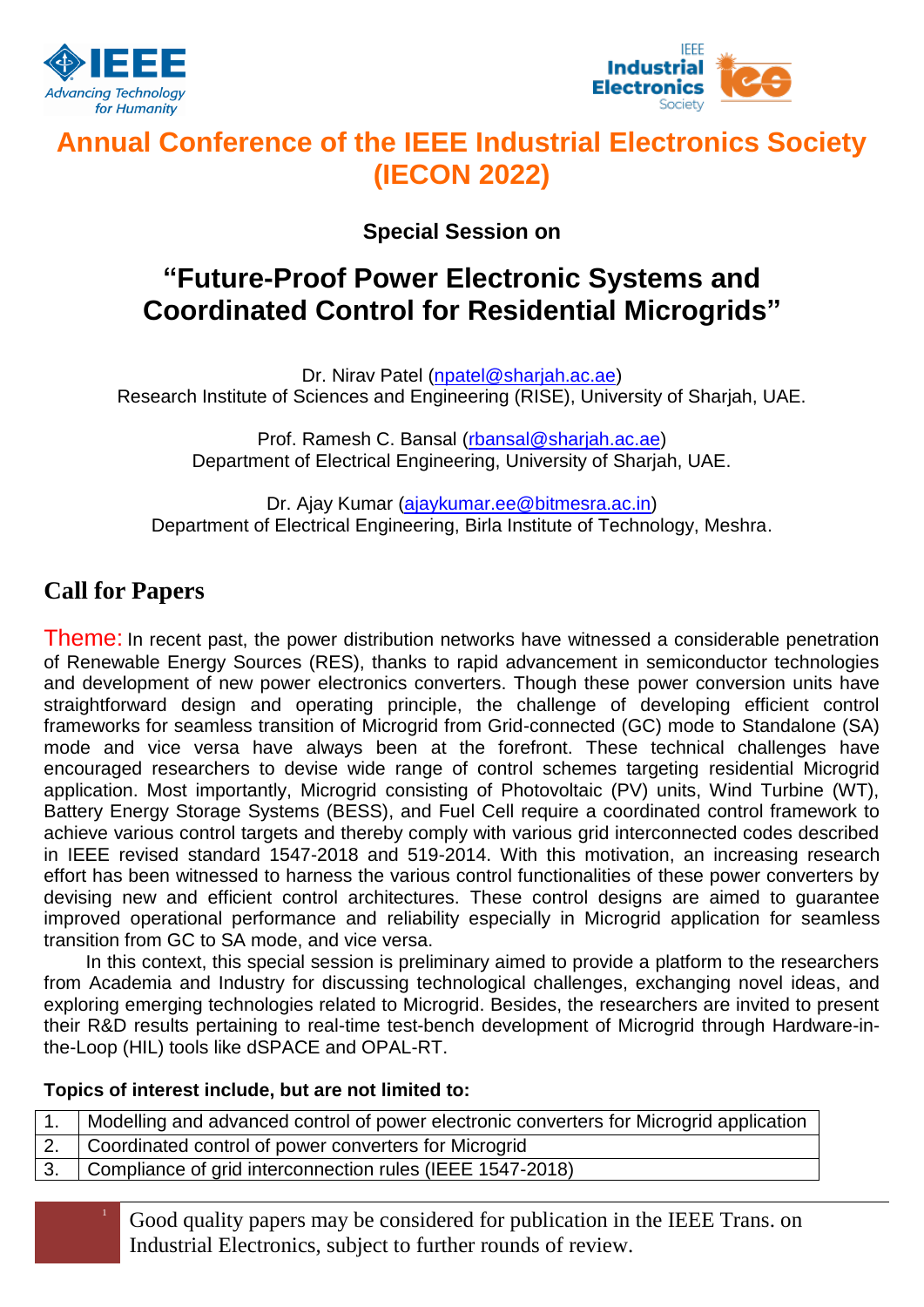



# **Annual Conference of the IEEE Industrial Electronics Society (IECON 2022)**

**Special Session on**

# **"Future-Proof Power Electronic Systems and Coordinated Control for Residential Microgrids"**

Dr. Nirav Patel [\(npatel@sharjah.ac.ae\)](mailto:npatel@sharjah.ac.ae) Research Institute of Sciences and Engineering (RISE), University of Sharjah, UAE.

> Prof. Ramesh C. Bansal (rbansal@sharjah.ac.ae) Department of Electrical Engineering, University of Sharjah, UAE.

Dr. Ajay Kumar [\(ajaykumar.ee@bitmesra.ac.in\)](mailto:ajaykumar.ee@bitmesra.ac.in) Department of Electrical Engineering, Birla Institute of Technology, Meshra.

## **Call for Papers**

Theme: In recent past, the power distribution networks have witnessed a considerable penetration of Renewable Energy Sources (RES), thanks to rapid advancement in semiconductor technologies and development of new power electronics converters. Though these power conversion units have straightforward design and operating principle, the challenge of developing efficient control frameworks for seamless transition of Microgrid from Grid-connected (GC) mode to Standalone (SA) mode and vice versa have always been at the forefront. These technical challenges have encouraged researchers to devise wide range of control schemes targeting residential Microgrid application. Most importantly, Microgrid consisting of Photovoltaic (PV) units, Wind Turbine (WT), Battery Energy Storage Systems (BESS), and Fuel Cell require a coordinated control framework to achieve various control targets and thereby comply with various grid interconnected codes described in IEEE revised standard 1547-2018 and 519-2014. With this motivation, an increasing research effort has been witnessed to harness the various control functionalities of these power converters by devising new and efficient control architectures. These control designs are aimed to guarantee improved operational performance and reliability especially in Microgrid application for seamless transition from GC to SA mode, and vice versa.

In this context, this special session is preliminary aimed to provide a platform to the researchers from Academia and Industry for discussing technological challenges, exchanging novel ideas, and exploring emerging technologies related to Microgrid. Besides, the researchers are invited to present their R&D results pertaining to real-time test-bench development of Microgrid through Hardware-inthe-Loop (HIL) tools like dSPACE and OPAL-RT.

### **Topics of interest include, but are not limited to:**

1. Modelling and advanced control of power electronic converters for Microgrid application

- 2. Coordinated control of power converters for Microgrid
- 3. Compliance of grid interconnection rules (IEEE 1547-2018)
	- <sup>1</sup> Good quality papers may be considered for publication in the IEEE Trans. on Industrial Electronics, subject to further rounds of review.